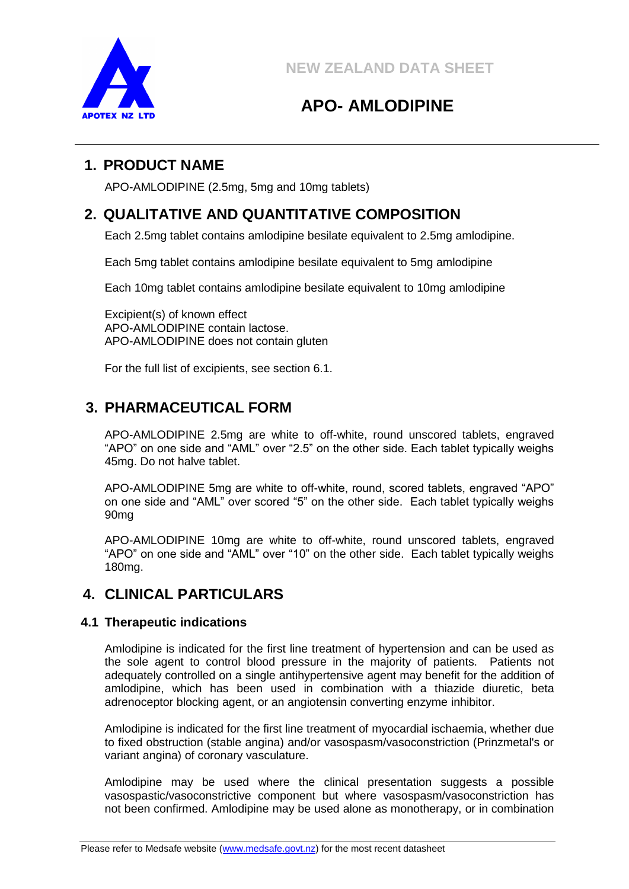

# **APO- AMLODIPINE**

# **1. PRODUCT NAME**

APO-AMLODIPINE (2.5mg, 5mg and 10mg tablets)

# **2. QUALITATIVE AND QUANTITATIVE COMPOSITION**

Each 2.5mg tablet contains amlodipine besilate equivalent to 2.5mg amlodipine.

Each 5mg tablet contains amlodipine besilate equivalent to 5mg amlodipine

Each 10mg tablet contains amlodipine besilate equivalent to 10mg amlodipine

Excipient(s) of known effect APO-AMLODIPINE contain lactose. APO-AMLODIPINE does not contain gluten

For the full list of excipients, see section 6.1.

# **3. PHARMACEUTICAL FORM**

APO-AMLODIPINE 2.5mg are white to off-white, round unscored tablets, engraved "APO" on one side and "AML" over "2.5" on the other side. Each tablet typically weighs 45mg. Do not halve tablet.

APO-AMLODIPINE 5mg are white to off-white, round, scored tablets, engraved "APO" on one side and "AML" over scored "5" on the other side. Each tablet typically weighs 90mg

APO-AMLODIPINE 10mg are white to off-white, round unscored tablets, engraved "APO" on one side and "AML" over "10" on the other side. Each tablet typically weighs 180mg.

# **4. CLINICAL PARTICULARS**

## **4.1 Therapeutic indications**

Amlodipine is indicated for the first line treatment of hypertension and can be used as the sole agent to control blood pressure in the majority of patients. Patients not adequately controlled on a single antihypertensive agent may benefit for the addition of amlodipine, which has been used in combination with a thiazide diuretic, beta adrenoceptor blocking agent, or an angiotensin converting enzyme inhibitor.

Amlodipine is indicated for the first line treatment of myocardial ischaemia, whether due to fixed obstruction (stable angina) and/or vasospasm/vasoconstriction (Prinzmetal's or variant angina) of coronary vasculature.

Amlodipine may be used where the clinical presentation suggests a possible vasospastic/vasoconstrictive component but where vasospasm/vasoconstriction has not been confirmed. Amlodipine may be used alone as monotherapy, or in combination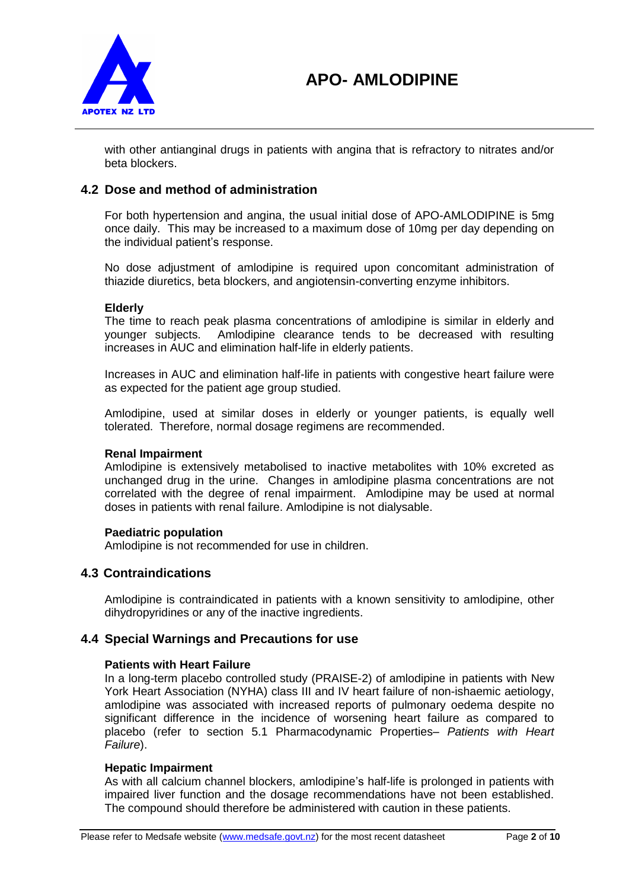

with other antianginal drugs in patients with angina that is refractory to nitrates and/or beta blockers.

## **4.2 Dose and method of administration**

For both hypertension and angina, the usual initial dose of APO-AMLODIPINE is 5mg once daily. This may be increased to a maximum dose of 10mg per day depending on the individual patient's response.

No dose adjustment of amlodipine is required upon concomitant administration of thiazide diuretics, beta blockers, and angiotensin-converting enzyme inhibitors.

### **Elderly**

The time to reach peak plasma concentrations of amlodipine is similar in elderly and younger subjects. Amlodipine clearance tends to be decreased with resulting increases in AUC and elimination half-life in elderly patients.

Increases in AUC and elimination half-life in patients with congestive heart failure were as expected for the patient age group studied.

Amlodipine, used at similar doses in elderly or younger patients, is equally well tolerated. Therefore, normal dosage regimens are recommended.

### **Renal Impairment**

Amlodipine is extensively metabolised to inactive metabolites with 10% excreted as unchanged drug in the urine. Changes in amlodipine plasma concentrations are not correlated with the degree of renal impairment. Amlodipine may be used at normal doses in patients with renal failure. Amlodipine is not dialysable.

### **Paediatric population**

Amlodipine is not recommended for use in children.

## **4.3 Contraindications**

Amlodipine is contraindicated in patients with a known sensitivity to amlodipine, other dihydropyridines or any of the inactive ingredients.

## **4.4 Special Warnings and Precautions for use**

### **Patients with Heart Failure**

In a long-term placebo controlled study (PRAISE-2) of amlodipine in patients with New York Heart Association (NYHA) class III and IV heart failure of non-ishaemic aetiology, amlodipine was associated with increased reports of pulmonary oedema despite no significant difference in the incidence of worsening heart failure as compared to placebo (refer to section 5.1 Pharmacodynamic Properties*– Patients with Heart Failure*).

### **Hepatic Impairment**

As with all calcium channel blockers, amlodipine's half-life is prolonged in patients with impaired liver function and the dosage recommendations have not been established. The compound should therefore be administered with caution in these patients.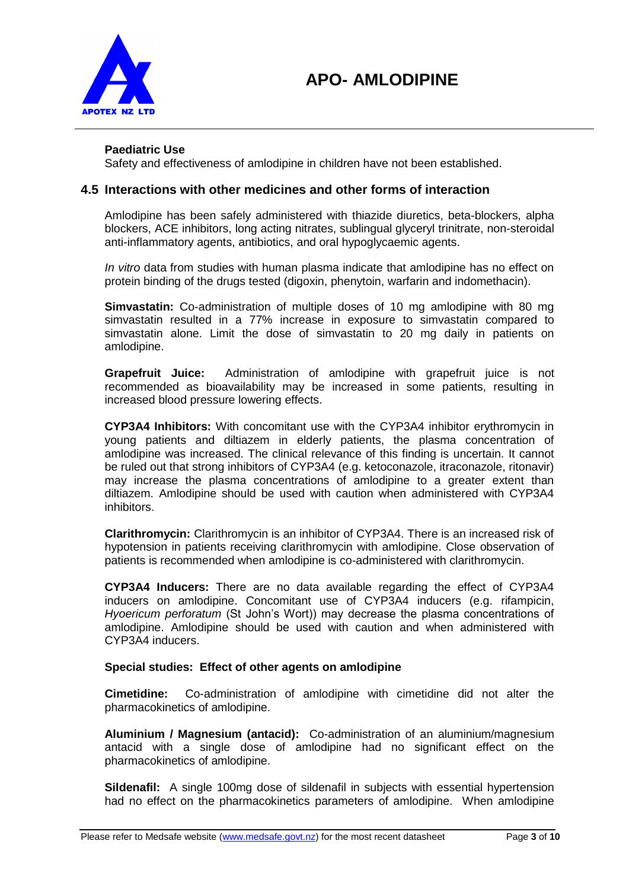

### **Paediatric Use**

Safety and effectiveness of amlodipine in children have not been established.

## **4.5 Interactions with other medicines and other forms of interaction**

Amlodipine has been safely administered with thiazide diuretics, beta-blockers, alpha blockers, ACE inhibitors, long acting nitrates, sublingual glyceryl trinitrate, non-steroidal anti-inflammatory agents, antibiotics, and oral hypoglycaemic agents.

*In vitro* data from studies with human plasma indicate that amlodipine has no effect on protein binding of the drugs tested (digoxin, phenytoin, warfarin and indomethacin).

**Simvastatin:** Co-administration of multiple doses of 10 mg amlodipine with 80 mg simvastatin resulted in a 77% increase in exposure to simvastatin compared to simvastatin alone. Limit the dose of simvastatin to 20 mg daily in patients on amlodipine.

**Grapefruit Juice:** Administration of amlodipine with grapefruit juice is not recommended as bioavailability may be increased in some patients, resulting in increased blood pressure lowering effects.

**CYP3A4 Inhibitors:** With concomitant use with the CYP3A4 inhibitor erythromycin in young patients and diltiazem in elderly patients, the plasma concentration of amlodipine was increased. The clinical relevance of this finding is uncertain. It cannot be ruled out that strong inhibitors of CYP3A4 (e.g. ketoconazole, itraconazole, ritonavir) may increase the plasma concentrations of amlodipine to a greater extent than diltiazem. Amlodipine should be used with caution when administered with CYP3A4 inhibitors.

**Clarithromycin:** Clarithromycin is an inhibitor of CYP3A4. There is an increased risk of hypotension in patients receiving clarithromycin with amlodipine. Close observation of patients is recommended when amlodipine is co-administered with clarithromycin.

**CYP3A4 Inducers:** There are no data available regarding the effect of CYP3A4 inducers on amlodipine. Concomitant use of CYP3A4 inducers (e.g. rifampicin, *Hyoericum perforatum* (St John's Wort)) may decrease the plasma concentrations of amlodipine. Amlodipine should be used with caution and when administered with CYP3A4 inducers.

### **Special studies: Effect of other agents on amlodipine**

**Cimetidine:** Co-administration of amlodipine with cimetidine did not alter the pharmacokinetics of amlodipine.

**Aluminium / Magnesium (antacid):** Co-administration of an aluminium/magnesium antacid with a single dose of amlodipine had no significant effect on the pharmacokinetics of amlodipine.

**Sildenafil:** A single 100mg dose of sildenafil in subjects with essential hypertension had no effect on the pharmacokinetics parameters of amlodipine. When amlodipine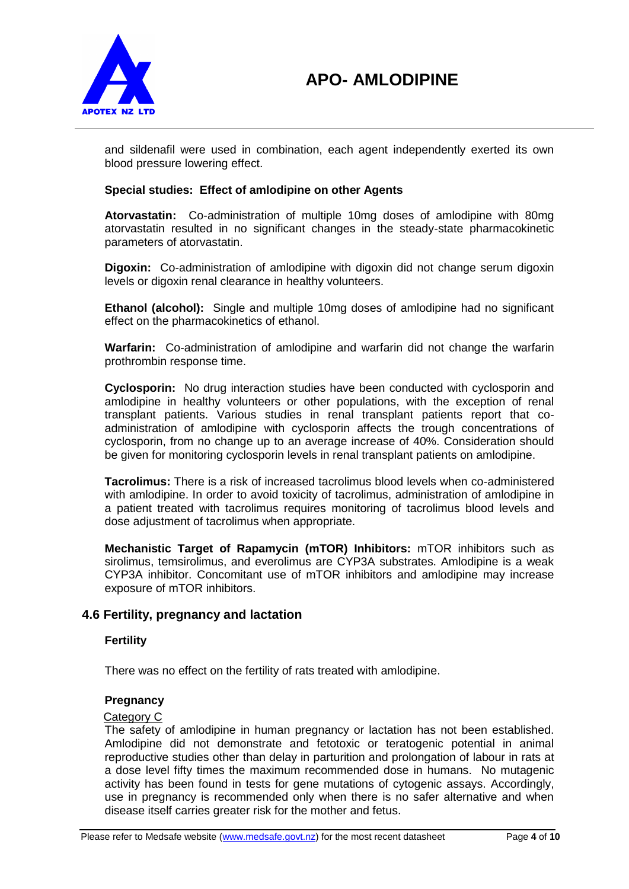

and sildenafil were used in combination, each agent independently exerted its own blood pressure lowering effect.

### **Special studies: Effect of amlodipine on other Agents**

**Atorvastatin:** Co-administration of multiple 10mg doses of amlodipine with 80mg atorvastatin resulted in no significant changes in the steady-state pharmacokinetic parameters of atorvastatin.

**Digoxin:** Co-administration of amlodipine with digoxin did not change serum digoxin levels or digoxin renal clearance in healthy volunteers.

**Ethanol (alcohol):** Single and multiple 10mg doses of amlodipine had no significant effect on the pharmacokinetics of ethanol.

**Warfarin:** Co-administration of amlodipine and warfarin did not change the warfarin prothrombin response time.

**Cyclosporin:** No drug interaction studies have been conducted with cyclosporin and amlodipine in healthy volunteers or other populations, with the exception of renal transplant patients. Various studies in renal transplant patients report that coadministration of amlodipine with cyclosporin affects the trough concentrations of cyclosporin, from no change up to an average increase of 40%. Consideration should be given for monitoring cyclosporin levels in renal transplant patients on amlodipine.

**Tacrolimus:** There is a risk of increased tacrolimus blood levels when co-administered with amlodipine. In order to avoid toxicity of tacrolimus, administration of amlodipine in a patient treated with tacrolimus requires monitoring of tacrolimus blood levels and dose adjustment of tacrolimus when appropriate.

**Mechanistic Target of Rapamycin (mTOR) Inhibitors:** mTOR inhibitors such as sirolimus, temsirolimus, and everolimus are CYP3A substrates. Amlodipine is a weak CYP3A inhibitor. Concomitant use of mTOR inhibitors and amlodipine may increase exposure of mTOR inhibitors.

## **4.6 Fertility, pregnancy and lactation**

### **Fertility**

There was no effect on the fertility of rats treated with amlodipine.

### **Pregnancy**

## Category C

The safety of amlodipine in human pregnancy or lactation has not been established. Amlodipine did not demonstrate and fetotoxic or teratogenic potential in animal reproductive studies other than delay in parturition and prolongation of labour in rats at a dose level fifty times the maximum recommended dose in humans. No mutagenic activity has been found in tests for gene mutations of cytogenic assays. Accordingly, use in pregnancy is recommended only when there is no safer alternative and when disease itself carries greater risk for the mother and fetus.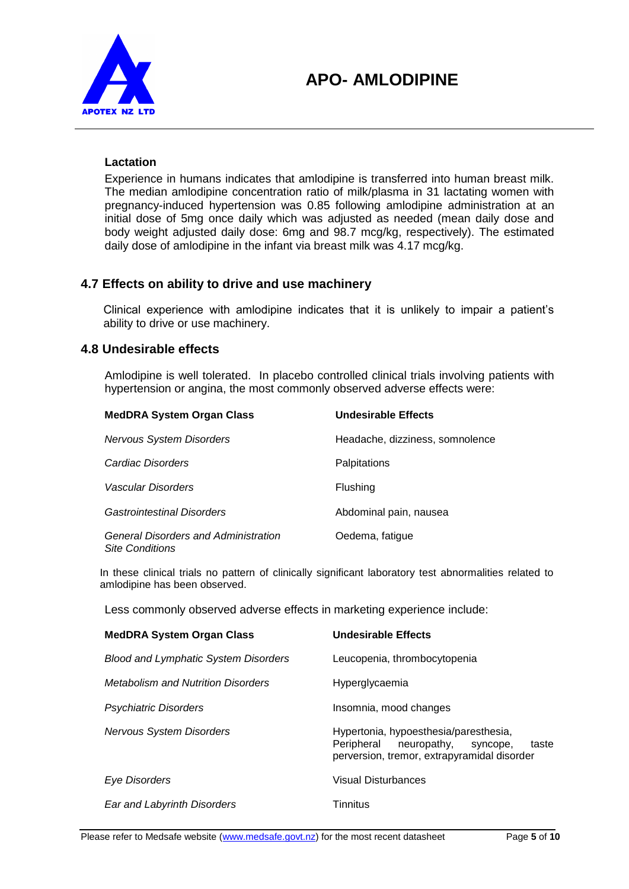

### **Lactation**

Experience in humans indicates that amlodipine is transferred into human breast milk. The median amlodipine concentration ratio of milk/plasma in 31 lactating women with pregnancy-induced hypertension was 0.85 following amlodipine administration at an initial dose of 5mg once daily which was adjusted as needed (mean daily dose and body weight adjusted daily dose: 6mg and 98.7 mcg/kg, respectively). The estimated daily dose of amlodipine in the infant via breast milk was 4.17 mcg/kg.

## **4.7 Effects on ability to drive and use machinery**

Clinical experience with amlodipine indicates that it is unlikely to impair a patient's ability to drive or use machinery.

## **4.8 Undesirable effects**

Amlodipine is well tolerated. In placebo controlled clinical trials involving patients with hypertension or angina, the most commonly observed adverse effects were:

| <b>MedDRA System Organ Class</b>                                      | <b>Undesirable Effects</b>      |
|-----------------------------------------------------------------------|---------------------------------|
| Nervous System Disorders                                              | Headache, dizziness, somnolence |
| Cardiac Disorders                                                     | Palpitations                    |
| Vascular Disorders                                                    | Flushing                        |
| Gastrointestinal Disorders                                            | Abdominal pain, nausea          |
| <b>General Disorders and Administration</b><br><b>Site Conditions</b> | Oedema, fatigue                 |

In these clinical trials no pattern of clinically significant laboratory test abnormalities related to amlodipine has been observed.

Less commonly observed adverse effects in marketing experience include:

| <b>MedDRA System Organ Class</b>            | <b>Undesirable Effects</b>                                                                                                             |
|---------------------------------------------|----------------------------------------------------------------------------------------------------------------------------------------|
| <b>Blood and Lymphatic System Disorders</b> | Leucopenia, thrombocytopenia                                                                                                           |
| <b>Metabolism and Nutrition Disorders</b>   | Hyperglycaemia                                                                                                                         |
| <b>Psychiatric Disorders</b>                | Insomnia, mood changes                                                                                                                 |
| <b>Nervous System Disorders</b>             | Hypertonia, hypoesthesia/paresthesia,<br>Peripheral<br>neuropathy,<br>taste<br>syncope,<br>perversion, tremor, extrapyramidal disorder |
| Eye Disorders                               | <b>Visual Disturbances</b>                                                                                                             |
| Ear and Labyrinth Disorders                 | Tinnitus                                                                                                                               |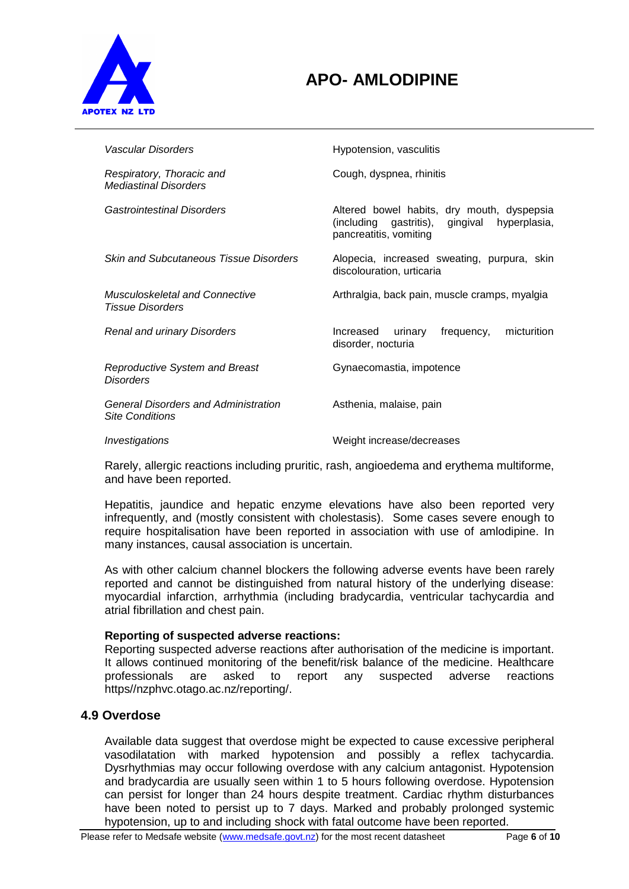

# **APO- AMLODIPINE**

| Vascular Disorders                                                    | Hypotension, vasculitis                                                                                                    |
|-----------------------------------------------------------------------|----------------------------------------------------------------------------------------------------------------------------|
| Respiratory, Thoracic and<br><b>Mediastinal Disorders</b>             | Cough, dyspnea, rhinitis                                                                                                   |
| Gastrointestinal Disorders                                            | Altered bowel habits, dry mouth, dyspepsia<br>(including gastritis),<br>gingival<br>hyperplasia,<br>pancreatitis, vomiting |
| <b>Skin and Subcutaneous Tissue Disorders</b>                         | Alopecia, increased sweating, purpura, skin<br>discolouration, urticaria                                                   |
| Musculoskeletal and Connective<br><b>Tissue Disorders</b>             | Arthralgia, back pain, muscle cramps, myalgia                                                                              |
| <b>Renal and urinary Disorders</b>                                    | frequency,<br>micturition<br>Increased<br>urinary<br>disorder, nocturia                                                    |
| <b>Reproductive System and Breast</b><br><b>Disorders</b>             | Gynaecomastia, impotence                                                                                                   |
| <b>General Disorders and Administration</b><br><b>Site Conditions</b> | Asthenia, malaise, pain                                                                                                    |
| Investigations                                                        | Weight increase/decreases                                                                                                  |

Rarely, allergic reactions including pruritic, rash, angioedema and erythema multiforme, and have been reported.

Hepatitis, jaundice and hepatic enzyme elevations have also been reported very infrequently, and (mostly consistent with cholestasis). Some cases severe enough to require hospitalisation have been reported in association with use of amlodipine. In many instances, causal association is uncertain.

As with other calcium channel blockers the following adverse events have been rarely reported and cannot be distinguished from natural history of the underlying disease: myocardial infarction, arrhythmia (including bradycardia, ventricular tachycardia and atrial fibrillation and chest pain.

## **Reporting of suspected adverse reactions:**

Reporting suspected adverse reactions after authorisation of the medicine is important. It allows continued monitoring of the benefit/risk balance of the medicine. Healthcare professionals are asked to report any suspected adverse reactions https//nzphvc.otago.ac.nz/reporting/.

## **4.9 Overdose**

Available data suggest that overdose might be expected to cause excessive peripheral vasodilatation with marked hypotension and possibly a reflex tachycardia. Dysrhythmias may occur following overdose with any calcium antagonist. Hypotension and bradycardia are usually seen within 1 to 5 hours following overdose. Hypotension can persist for longer than 24 hours despite treatment. Cardiac rhythm disturbances have been noted to persist up to 7 days. Marked and probably prolonged systemic hypotension, up to and including shock with fatal outcome have been reported.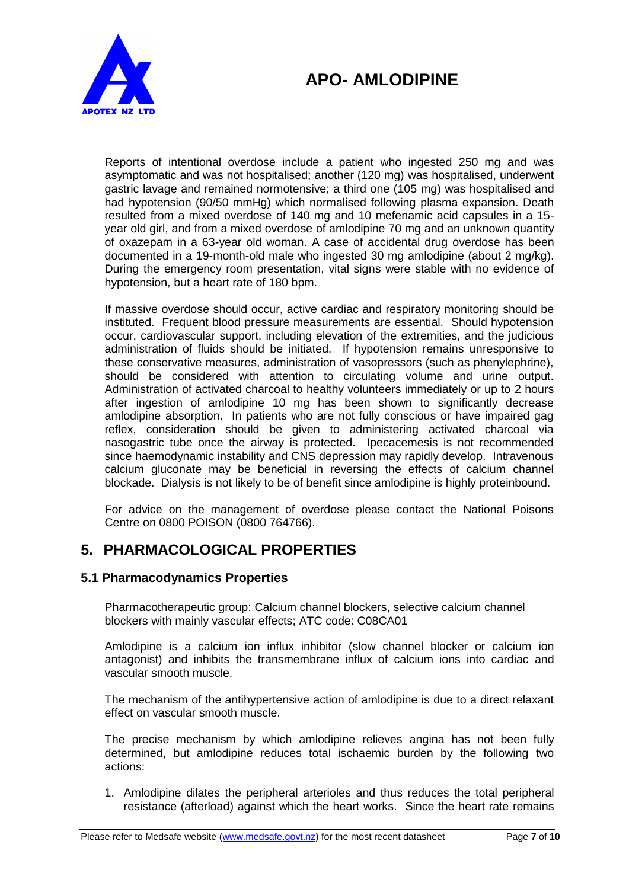

Reports of intentional overdose include a patient who ingested 250 mg and was asymptomatic and was not hospitalised; another (120 mg) was hospitalised, underwent gastric lavage and remained normotensive; a third one (105 mg) was hospitalised and had hypotension (90/50 mmHg) which normalised following plasma expansion. Death resulted from a mixed overdose of 140 mg and 10 mefenamic acid capsules in a 15 year old girl, and from a mixed overdose of amlodipine 70 mg and an unknown quantity of oxazepam in a 63-year old woman. A case of accidental drug overdose has been documented in a 19-month-old male who ingested 30 mg amlodipine (about 2 mg/kg). During the emergency room presentation, vital signs were stable with no evidence of hypotension, but a heart rate of 180 bpm.

If massive overdose should occur, active cardiac and respiratory monitoring should be instituted. Frequent blood pressure measurements are essential. Should hypotension occur, cardiovascular support, including elevation of the extremities, and the judicious administration of fluids should be initiated. If hypotension remains unresponsive to these conservative measures, administration of vasopressors (such as phenylephrine), should be considered with attention to circulating volume and urine output. Administration of activated charcoal to healthy volunteers immediately or up to 2 hours after ingestion of amlodipine 10 mg has been shown to significantly decrease amlodipine absorption. In patients who are not fully conscious or have impaired gag reflex, consideration should be given to administering activated charcoal via nasogastric tube once the airway is protected. Ipecacemesis is not recommended since haemodynamic instability and CNS depression may rapidly develop. Intravenous calcium gluconate may be beneficial in reversing the effects of calcium channel blockade. Dialysis is not likely to be of benefit since amlodipine is highly proteinbound.

For advice on the management of overdose please contact the National Poisons Centre on 0800 POISON (0800 764766).

# **5. PHARMACOLOGICAL PROPERTIES**

## **5.1 Pharmacodynamics Properties**

Pharmacotherapeutic group: Calcium channel blockers, selective calcium channel blockers with mainly vascular effects; ATC code: C08CA01

Amlodipine is a calcium ion influx inhibitor (slow channel blocker or calcium ion antagonist) and inhibits the transmembrane influx of calcium ions into cardiac and vascular smooth muscle.

The mechanism of the antihypertensive action of amlodipine is due to a direct relaxant effect on vascular smooth muscle.

The precise mechanism by which amlodipine relieves angina has not been fully determined, but amlodipine reduces total ischaemic burden by the following two actions:

1. Amlodipine dilates the peripheral arterioles and thus reduces the total peripheral resistance (afterload) against which the heart works. Since the heart rate remains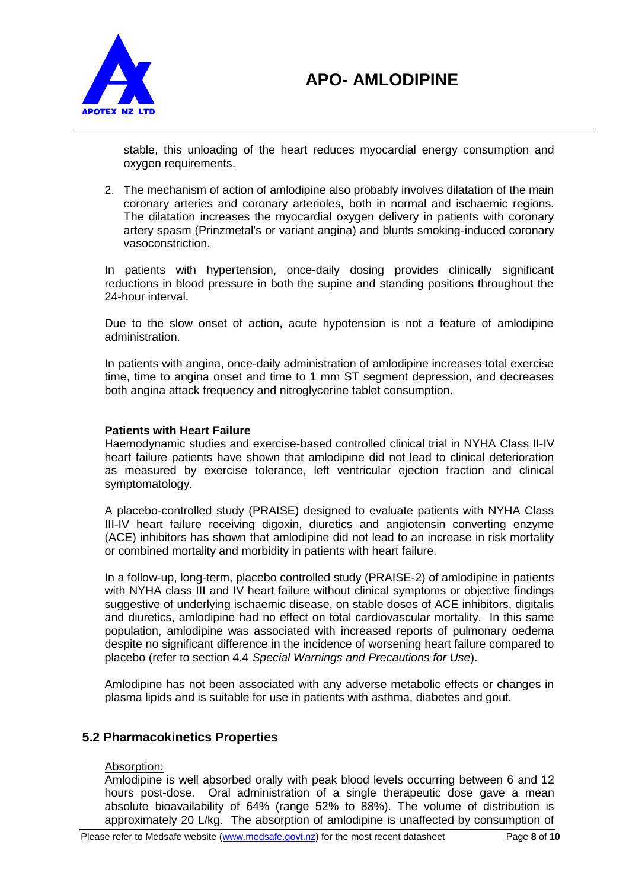

stable, this unloading of the heart reduces myocardial energy consumption and oxygen requirements.

2. The mechanism of action of amlodipine also probably involves dilatation of the main coronary arteries and coronary arterioles, both in normal and ischaemic regions. The dilatation increases the myocardial oxygen delivery in patients with coronary artery spasm (Prinzmetal's or variant angina) and blunts smoking-induced coronary vasoconstriction.

In patients with hypertension, once-daily dosing provides clinically significant reductions in blood pressure in both the supine and standing positions throughout the 24-hour interval.

Due to the slow onset of action, acute hypotension is not a feature of amlodipine administration.

In patients with angina, once-daily administration of amlodipine increases total exercise time, time to angina onset and time to 1 mm ST segment depression, and decreases both angina attack frequency and nitroglycerine tablet consumption.

### **Patients with Heart Failure**

Haemodynamic studies and exercise-based controlled clinical trial in NYHA Class II-IV heart failure patients have shown that amlodipine did not lead to clinical deterioration as measured by exercise tolerance, left ventricular ejection fraction and clinical symptomatology.

A placebo-controlled study (PRAISE) designed to evaluate patients with NYHA Class III-IV heart failure receiving digoxin, diuretics and angiotensin converting enzyme (ACE) inhibitors has shown that amlodipine did not lead to an increase in risk mortality or combined mortality and morbidity in patients with heart failure.

In a follow-up, long-term, placebo controlled study (PRAISE-2) of amlodipine in patients with NYHA class III and IV heart failure without clinical symptoms or objective findings suggestive of underlying ischaemic disease, on stable doses of ACE inhibitors, digitalis and diuretics, amlodipine had no effect on total cardiovascular mortality. In this same population, amlodipine was associated with increased reports of pulmonary oedema despite no significant difference in the incidence of worsening heart failure compared to placebo (refer to section 4.4 *Special Warnings and Precautions for Use*).

Amlodipine has not been associated with any adverse metabolic effects or changes in plasma lipids and is suitable for use in patients with asthma, diabetes and gout.

## **5.2 Pharmacokinetics Properties**

### Absorption:

Amlodipine is well absorbed orally with peak blood levels occurring between 6 and 12 hours post-dose. Oral administration of a single therapeutic dose gave a mean absolute bioavailability of 64% (range 52% to 88%). The volume of distribution is approximately 20 L/kg. The absorption of amlodipine is unaffected by consumption of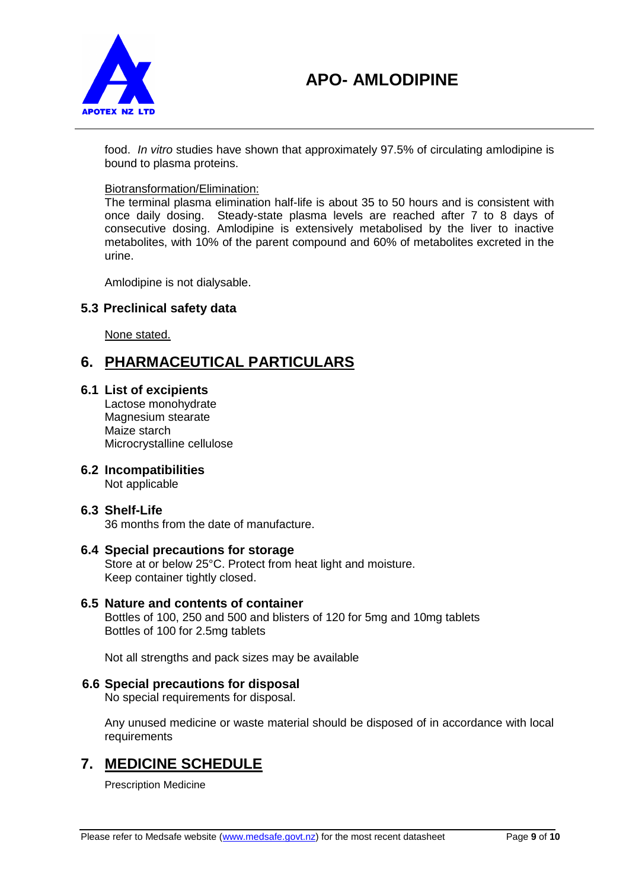

food. *In vitro* studies have shown that approximately 97.5% of circulating amlodipine is bound to plasma proteins.

## Biotransformation/Elimination:

The terminal plasma elimination half-life is about 35 to 50 hours and is consistent with once daily dosing. Steady-state plasma levels are reached after 7 to 8 days of consecutive dosing. Amlodipine is extensively metabolised by the liver to inactive metabolites, with 10% of the parent compound and 60% of metabolites excreted in the urine.

Amlodipine is not dialysable.

## **5.3 Preclinical safety data**

None stated.

# **6. PHARMACEUTICAL PARTICULARS**

### **6.1 List of excipients**

Lactose monohydrate Magnesium stearate Maize starch Microcrystalline cellulose

## **6.2 Incompatibilities**

Not applicable

## **6.3 Shelf-Life**

36 months from the date of manufacture.

## **6.4 Special precautions for storage**

Store at or below 25°C. Protect from heat light and moisture. Keep container tightly closed.

## **6.5 Nature and contents of container**

Bottles of 100, 250 and 500 and blisters of 120 for 5mg and 10mg tablets Bottles of 100 for 2.5mg tablets

Not all strengths and pack sizes may be available

## **6.6 Special precautions for disposal**

No special requirements for disposal.

Any unused medicine or waste material should be disposed of in accordance with local requirements

# **7. MEDICINE SCHEDULE**

Prescription Medicine